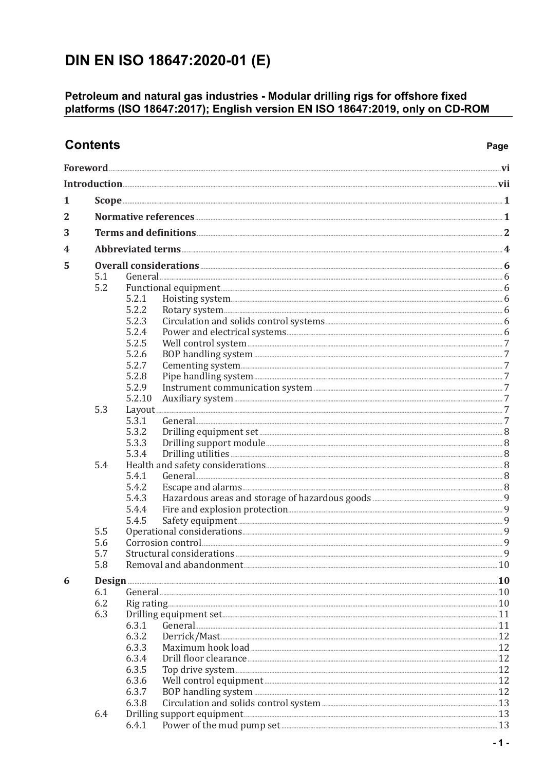## DIN EN ISO 18647:2020-01 (E)

## Petroleum and natural gas industries - Modular drilling rigs for offshore fixed<br>platforms (ISO 18647:2017); English version EN ISO 18647:2019, only on CD-ROM

| <b>Contents</b> | Page                                                      |                |                                                       |  |  |  |
|-----------------|-----------------------------------------------------------|----------------|-------------------------------------------------------|--|--|--|
|                 |                                                           |                |                                                       |  |  |  |
|                 |                                                           |                |                                                       |  |  |  |
| 1               |                                                           |                |                                                       |  |  |  |
| $\overline{2}$  |                                                           |                |                                                       |  |  |  |
| 3               |                                                           |                |                                                       |  |  |  |
|                 |                                                           |                |                                                       |  |  |  |
| 4               |                                                           |                |                                                       |  |  |  |
| 5               |                                                           |                |                                                       |  |  |  |
|                 | 5.1                                                       |                |                                                       |  |  |  |
|                 | 5.2                                                       |                |                                                       |  |  |  |
|                 |                                                           | 5.2.1          |                                                       |  |  |  |
|                 |                                                           | 5.2.2          |                                                       |  |  |  |
|                 |                                                           | 5.2.3<br>5.2.4 |                                                       |  |  |  |
|                 |                                                           | 5.2.5          |                                                       |  |  |  |
|                 |                                                           | 5.2.6          |                                                       |  |  |  |
|                 |                                                           | 5.2.7          |                                                       |  |  |  |
|                 |                                                           | 5.2.8          |                                                       |  |  |  |
|                 |                                                           | 5.2.9          |                                                       |  |  |  |
|                 |                                                           | 5.2.10         |                                                       |  |  |  |
|                 | 5.3                                                       |                |                                                       |  |  |  |
|                 |                                                           | 5.3.1          |                                                       |  |  |  |
|                 |                                                           | 5.3.2          |                                                       |  |  |  |
|                 |                                                           | 5.3.3          |                                                       |  |  |  |
|                 |                                                           | 5.3.4          |                                                       |  |  |  |
|                 | 5.4                                                       |                |                                                       |  |  |  |
|                 |                                                           | 5.4.1          |                                                       |  |  |  |
|                 |                                                           | 5.4.2          |                                                       |  |  |  |
|                 |                                                           | 5.4.3          |                                                       |  |  |  |
|                 |                                                           | 5.4.4          |                                                       |  |  |  |
|                 |                                                           | 5.4.5          |                                                       |  |  |  |
|                 | 5.5<br>5.6                                                |                |                                                       |  |  |  |
|                 | 5.7                                                       |                |                                                       |  |  |  |
|                 | 5.8<br>Removal and abandonment <b>Manufacture 2018</b> 10 |                |                                                       |  |  |  |
|                 |                                                           |                |                                                       |  |  |  |
| 6               |                                                           |                |                                                       |  |  |  |
|                 | 6.1<br>6.2                                                |                |                                                       |  |  |  |
|                 | 6.3                                                       |                |                                                       |  |  |  |
|                 |                                                           | 6.3.1          |                                                       |  |  |  |
|                 |                                                           | 6.3.2          |                                                       |  |  |  |
|                 |                                                           | 6.3.3          |                                                       |  |  |  |
|                 |                                                           | 6.3.4          |                                                       |  |  |  |
|                 |                                                           | 6.3.5          |                                                       |  |  |  |
|                 |                                                           | 6.3.6          |                                                       |  |  |  |
|                 |                                                           | 6.3.7          |                                                       |  |  |  |
|                 |                                                           | 6.3.8          |                                                       |  |  |  |
|                 | 6.4                                                       |                | Drilling support equipment <b>Exercise Section</b> 23 |  |  |  |
|                 |                                                           | 6.4.1          |                                                       |  |  |  |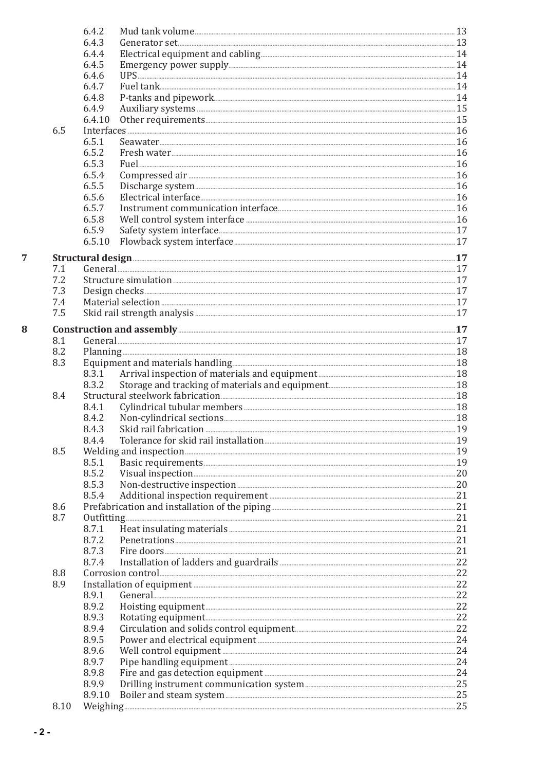|      | 6.4.2  |                                                                                                                                                                                                                                           |  |  |  |
|------|--------|-------------------------------------------------------------------------------------------------------------------------------------------------------------------------------------------------------------------------------------------|--|--|--|
|      | 6.4.3  |                                                                                                                                                                                                                                           |  |  |  |
|      | 6.4.4  | Electrical equipment and cabling <b>Electrical</b> equipment and cabling <b>Electrical</b>                                                                                                                                                |  |  |  |
|      | 6.4.5  |                                                                                                                                                                                                                                           |  |  |  |
|      | 6.4.6  |                                                                                                                                                                                                                                           |  |  |  |
|      | 6.4.7  |                                                                                                                                                                                                                                           |  |  |  |
|      | 6.4.8  |                                                                                                                                                                                                                                           |  |  |  |
|      | 6.4.9  |                                                                                                                                                                                                                                           |  |  |  |
|      | 6.4.10 |                                                                                                                                                                                                                                           |  |  |  |
| 6.5  |        |                                                                                                                                                                                                                                           |  |  |  |
|      | 6.5.1  |                                                                                                                                                                                                                                           |  |  |  |
|      | 6.5.2  |                                                                                                                                                                                                                                           |  |  |  |
|      | 6.5.3  |                                                                                                                                                                                                                                           |  |  |  |
|      | 6.5.4  |                                                                                                                                                                                                                                           |  |  |  |
|      | 6.5.5  |                                                                                                                                                                                                                                           |  |  |  |
|      | 6.5.6  |                                                                                                                                                                                                                                           |  |  |  |
|      | 6.5.7  |                                                                                                                                                                                                                                           |  |  |  |
|      | 6.5.8  |                                                                                                                                                                                                                                           |  |  |  |
|      | 6.5.9  |                                                                                                                                                                                                                                           |  |  |  |
|      | 6.5.10 |                                                                                                                                                                                                                                           |  |  |  |
|      |        |                                                                                                                                                                                                                                           |  |  |  |
|      |        | Structural design <b>Execution</b> 17                                                                                                                                                                                                     |  |  |  |
| 7.1  |        |                                                                                                                                                                                                                                           |  |  |  |
| 7.2  |        |                                                                                                                                                                                                                                           |  |  |  |
| 7.3  |        |                                                                                                                                                                                                                                           |  |  |  |
| 7.4  |        |                                                                                                                                                                                                                                           |  |  |  |
| 7.5  |        |                                                                                                                                                                                                                                           |  |  |  |
|      |        | Construction and assembly <b>Execution</b> and assembly <b>and the set of the set of the set of the set of the set of the set of the set of the set of the set of the set of the set of the set of the set of the set of the set of t</b> |  |  |  |
| 8.1  |        |                                                                                                                                                                                                                                           |  |  |  |
|      |        |                                                                                                                                                                                                                                           |  |  |  |
| 8.2  |        |                                                                                                                                                                                                                                           |  |  |  |
| 8.3  |        |                                                                                                                                                                                                                                           |  |  |  |
|      | 8.3.1  | Arrival inspection of materials and equipment <b>Materials</b> 18                                                                                                                                                                         |  |  |  |
|      | 8.3.2  |                                                                                                                                                                                                                                           |  |  |  |
| 8.4  |        |                                                                                                                                                                                                                                           |  |  |  |
|      | 8.4.1  |                                                                                                                                                                                                                                           |  |  |  |
|      | 8.4.2  |                                                                                                                                                                                                                                           |  |  |  |
|      | 8.4.3  |                                                                                                                                                                                                                                           |  |  |  |
|      | 8.4.4  |                                                                                                                                                                                                                                           |  |  |  |
| 8.5  |        |                                                                                                                                                                                                                                           |  |  |  |
|      | 8.5.1  |                                                                                                                                                                                                                                           |  |  |  |
|      | 8.5.2  |                                                                                                                                                                                                                                           |  |  |  |
|      | 8.5.3  |                                                                                                                                                                                                                                           |  |  |  |
|      | 8.5.4  |                                                                                                                                                                                                                                           |  |  |  |
| 8.6  |        |                                                                                                                                                                                                                                           |  |  |  |
| 8.7  |        | Outfitting <u>Execution Communications and the set of the set of the set of the set of the set of the set of the set of the set of the set of the set of the set of the set of the set of the set of the set of the set of the s</u>      |  |  |  |
|      | 8.7.1  |                                                                                                                                                                                                                                           |  |  |  |
|      | 8.7.2  |                                                                                                                                                                                                                                           |  |  |  |
|      | 8.7.3  |                                                                                                                                                                                                                                           |  |  |  |
|      | 8.7.4  |                                                                                                                                                                                                                                           |  |  |  |
| 8.8  |        |                                                                                                                                                                                                                                           |  |  |  |
| 8.9  |        |                                                                                                                                                                                                                                           |  |  |  |
|      | 8.9.1  |                                                                                                                                                                                                                                           |  |  |  |
|      | 8.9.2  |                                                                                                                                                                                                                                           |  |  |  |
|      |        |                                                                                                                                                                                                                                           |  |  |  |
|      | 8.9.3  |                                                                                                                                                                                                                                           |  |  |  |
|      | 8.9.4  |                                                                                                                                                                                                                                           |  |  |  |
|      | 8.9.5  |                                                                                                                                                                                                                                           |  |  |  |
|      | 8.9.6  |                                                                                                                                                                                                                                           |  |  |  |
|      | 8.9.7  |                                                                                                                                                                                                                                           |  |  |  |
|      | 8.9.8  |                                                                                                                                                                                                                                           |  |  |  |
|      | 8.9.9  |                                                                                                                                                                                                                                           |  |  |  |
|      | 8.9.10 |                                                                                                                                                                                                                                           |  |  |  |
| 8.10 |        |                                                                                                                                                                                                                                           |  |  |  |
|      |        |                                                                                                                                                                                                                                           |  |  |  |

 $\overline{7}$ 

 $\bf{8}$